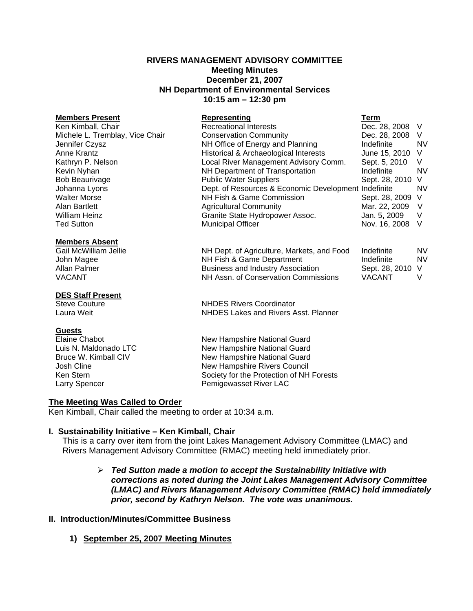### **RIVERS MANAGEMENT ADVISORY COMMITTEE Meeting Minutes December 21, 2007 NH Department of Environmental Services 10:15 am – 12:30 pm**

| <b>Members Present</b>          | <b>Representing</b>                                  | <b>Term</b>    |           |
|---------------------------------|------------------------------------------------------|----------------|-----------|
| Ken Kimball, Chair              | <b>Recreational Interests</b>                        | Dec. 28, 2008  | V         |
| Michele L. Tremblay, Vice Chair | <b>Conservation Community</b>                        | Dec. 28, 2008  | V         |
| Jennifer Czysz                  | NH Office of Energy and Planning                     | Indefinite     | <b>NV</b> |
| Anne Krantz                     | Historical & Archaeological Interests                | June 15, 2010  | V         |
| Kathryn P. Nelson               | Local River Management Advisory Comm.                | Sept. 5, 2010  | V         |
| Kevin Nyhan                     | NH Department of Transportation                      | Indefinite     | <b>NV</b> |
| <b>Bob Beaurivage</b>           | <b>Public Water Suppliers</b>                        | Sept. 28, 2010 | V         |
| Johanna Lyons                   | Dept. of Resources & Economic Development Indefinite |                | <b>NV</b> |
| <b>Walter Morse</b>             | NH Fish & Game Commission                            | Sept. 28, 2009 | V         |
| Alan Bartlett                   | <b>Agricultural Community</b>                        | Mar. 22, 2009  | V         |
| <b>William Heinz</b>            | Granite State Hydropower Assoc.                      | Jan. 5, 2009   | V         |
| Ted Sutton                      | <b>Municipal Officer</b>                             | Nov. 16, 2008  | - V       |
| <b>Members Absent</b>           |                                                      |                |           |
| Gail McWilliam Jellie           | NH Dept. of Agriculture, Markets, and Food           | Indefinite     | NV.       |
| John Magee                      | NH Fish & Game Department                            | Indefinite     | <b>NV</b> |
| Allan Palmer                    | <b>Business and Industry Association</b>             | Sept. 28, 2010 | V         |
| VACANT                          | NH Assn. of Conservation Commissions                 | <b>VACANT</b>  | V         |
| <b>DES Staff Present</b>        |                                                      |                |           |
| <b>Steve Couture</b>            | <b>NHDES Rivers Coordinator</b>                      |                |           |
| Laura Weit                      | NHDES Lakes and Rivers Asst. Planner                 |                |           |

**Guests**<br>Elaine Chabot

New Hampshire National Guard Luis N. Maldonado LTC **New Hampshire National Guard**<br>
Bruce W. Kimball CIV **New Hampshire National Guard** Bruce W. Kimball CIV **New Hampshire National Guard**<br>
Josh Cline **New Hampshire Rivers Council** New Hampshire Rivers Council Ken Stern Society for the Protection of NH Forests Larry Spencer **Pemigewasset River LAC** 

### **The Meeting Was Called to Order**

Ken Kimball, Chair called the meeting to order at 10:34 a.m.

### **I. Sustainability Initiative – Ken Kimball, Chair**

This is a carry over item from the joint Lakes Management Advisory Committee (LMAC) and Rivers Management Advisory Committee (RMAC) meeting held immediately prior.

### ¾ *Ted Sutton made a motion to accept the Sustainability Initiative with corrections as noted during the Joint Lakes Management Advisory Committee (LMAC) and Rivers Management Advisory Committee (RMAC) held immediately prior, second by Kathryn Nelson. The vote was unanimous.*

### **II. Introduction/Minutes/Committee Business**

**1) September 25, 2007 Meeting Minutes**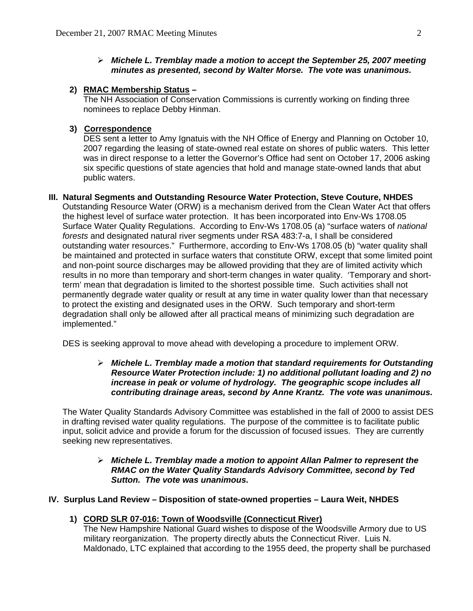### ¾ *Michele L. Tremblay made a motion to accept the September 25, 2007 meeting minutes as presented, second by Walter Morse. The vote was unanimous.*

### **2) RMAC Membership Status –**

The NH Association of Conservation Commissions is currently working on finding three nominees to replace Debby Hinman.

### **3) Correspondence**

DES sent a letter to Amy Ignatuis with the NH Office of Energy and Planning on October 10, 2007 regarding the leasing of state-owned real estate on shores of public waters. This letter was in direct response to a letter the Governor's Office had sent on October 17, 2006 asking six specific questions of state agencies that hold and manage state-owned lands that abut public waters.

### **III. Natural Segments and Outstanding Resource Water Protection, Steve Couture, NHDES**

Outstanding Resource Water (ORW) is a mechanism derived from the Clean Water Act that offers the highest level of surface water protection. It has been incorporated into Env-Ws 1708.05 Surface Water Quality Regulations. According to Env-Ws 1708.05 (a) "surface waters of *national forests* and designated natural river segments under RSA 483:7-a, I shall be considered outstanding water resources." Furthermore, according to Env-Ws 1708.05 (b) "water quality shall be maintained and protected in surface waters that constitute ORW, except that some limited point and non-point source discharges may be allowed providing that they are of limited activity which results in no more than temporary and short-term changes in water quality. 'Temporary and shortterm' mean that degradation is limited to the shortest possible time. Such activities shall not permanently degrade water quality or result at any time in water quality lower than that necessary to protect the existing and designated uses in the ORW. Such temporary and short-term degradation shall only be allowed after all practical means of minimizing such degradation are implemented."

DES is seeking approval to move ahead with developing a procedure to implement ORW.

### ¾ *Michele L. Tremblay made a motion that standard requirements for Outstanding Resource Water Protection include: 1) no additional pollutant loading and 2) no increase in peak or volume of hydrology. The geographic scope includes all contributing drainage areas, second by Anne Krantz. The vote was unanimous.*

The Water Quality Standards Advisory Committee was established in the fall of 2000 to assist DES in drafting revised water quality regulations. The purpose of the committee is to facilitate public input, solicit advice and provide a forum for the discussion of focused issues. They are currently seeking new representatives.

### ¾ *Michele L. Tremblay made a motion to appoint Allan Palmer to represent the RMAC on the Water Quality Standards Advisory Committee, second by Ted Sutton. The vote was unanimous.*

### **IV. Surplus Land Review – Disposition of state-owned properties – Laura Weit, NHDES**

### **1) CORD SLR 07-016: Town of Woodsville (Connecticut River)**

The New Hampshire National Guard wishes to dispose of the Woodsville Armory due to US military reorganization. The property directly abuts the Connecticut River. Luis N. Maldonado, LTC explained that according to the 1955 deed, the property shall be purchased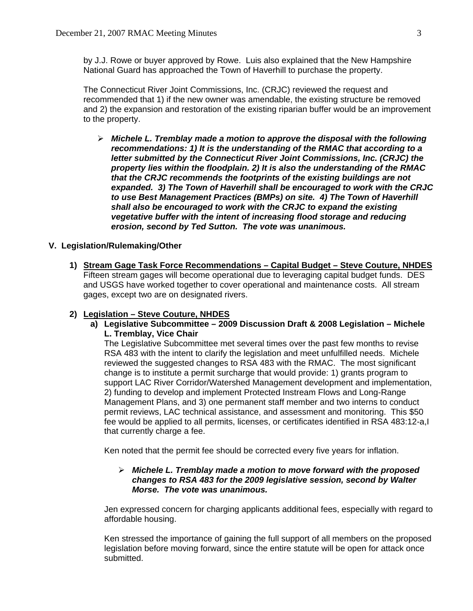by J.J. Rowe or buyer approved by Rowe. Luis also explained that the New Hampshire National Guard has approached the Town of Haverhill to purchase the property.

The Connecticut River Joint Commissions, Inc. (CRJC) reviewed the request and recommended that 1) if the new owner was amendable, the existing structure be removed and 2) the expansion and restoration of the existing riparian buffer would be an improvement to the property.

¾ *Michele L. Tremblay made a motion to approve the disposal with the following recommendations: 1) It is the understanding of the RMAC that according to a letter submitted by the Connecticut River Joint Commissions, Inc. (CRJC) the property lies within the floodplain. 2) It is also the understanding of the RMAC that the CRJC recommends the footprints of the existing buildings are not expanded. 3) The Town of Haverhill shall be encouraged to work with the CRJC to use Best Management Practices (BMPs) on site. 4) The Town of Haverhill shall also be encouraged to work with the CRJC to expand the existing vegetative buffer with the intent of increasing flood storage and reducing erosion, second by Ted Sutton. The vote was unanimous.* 

# **V. Legislation/Rulemaking/Other**

**1) Stream Gage Task Force Recommendations – Capital Budget – Steve Couture, NHDES** Fifteen stream gages will become operational due to leveraging capital budget funds. DES and USGS have worked together to cover operational and maintenance costs. All stream gages, except two are on designated rivers.

# **2) Legislation – Steve Couture, NHDES**

**a) Legislative Subcommittee – 2009 Discussion Draft & 2008 Legislation – Michele L. Tremblay, Vice Chair** 

The Legislative Subcommittee met several times over the past few months to revise RSA 483 with the intent to clarify the legislation and meet unfulfilled needs. Michele reviewed the suggested changes to RSA 483 with the RMAC. The most significant change is to institute a permit surcharge that would provide: 1) grants program to support LAC River Corridor/Watershed Management development and implementation, 2) funding to develop and implement Protected Instream Flows and Long-Range Management Plans, and 3) one permanent staff member and two interns to conduct permit reviews, LAC technical assistance, and assessment and monitoring. This \$50 fee would be applied to all permits, licenses, or certificates identified in RSA 483:12-a,I that currently charge a fee.

Ken noted that the permit fee should be corrected every five years for inflation.

### ¾ *Michele L. Tremblay made a motion to move forward with the proposed changes to RSA 483 for the 2009 legislative session, second by Walter Morse. The vote was unanimous.*

Jen expressed concern for charging applicants additional fees, especially with regard to affordable housing.

Ken stressed the importance of gaining the full support of all members on the proposed legislation before moving forward, since the entire statute will be open for attack once submitted.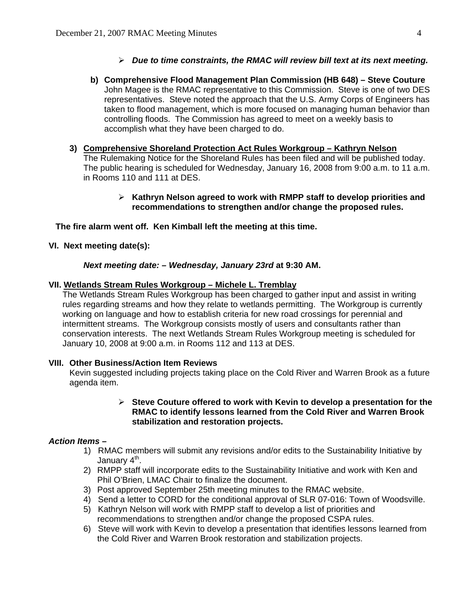# ¾ *Due to time constraints, the RMAC will review bill text at its next meeting.*

**b) Comprehensive Flood Management Plan Commission (HB 648) – Steve Couture**  John Magee is the RMAC representative to this Commission. Steve is one of two DES representatives. Steve noted the approach that the U.S. Army Corps of Engineers has taken to flood management, which is more focused on managing human behavior than controlling floods. The Commission has agreed to meet on a weekly basis to accomplish what they have been charged to do.

# **3) Comprehensive Shoreland Protection Act Rules Workgroup – Kathryn Nelson**

The Rulemaking Notice for the Shoreland Rules has been filed and will be published today. The public hearing is scheduled for Wednesday, January 16, 2008 from 9:00 a.m. to 11 a.m. in Rooms 110 and 111 at DES.

# ¾ **Kathryn Nelson agreed to work with RMPP staff to develop priorities and recommendations to strengthen and/or change the proposed rules.**

# **The fire alarm went off. Ken Kimball left the meeting at this time.**

# **VI. Next meeting date(s):**

# *Next meeting date: – Wednesday, January 23rd* **at 9:30 AM.**

# **VII. Wetlands Stream Rules Workgroup – Michele L. Tremblay**

The Wetlands Stream Rules Workgroup has been charged to gather input and assist in writing rules regarding streams and how they relate to wetlands permitting. The Workgroup is currently working on language and how to establish criteria for new road crossings for perennial and intermittent streams. The Workgroup consists mostly of users and consultants rather than conservation interests. The next Wetlands Stream Rules Workgroup meeting is scheduled for January 10, 2008 at 9:00 a.m. in Rooms 112 and 113 at DES.

# **VIII. Other Business/Action Item Reviews**

Kevin suggested including projects taking place on the Cold River and Warren Brook as a future agenda item.

### ¾ **Steve Couture offered to work with Kevin to develop a presentation for the RMAC to identify lessons learned from the Cold River and Warren Brook stabilization and restoration projects.**

# *Action Items –*

- 1) RMAC members will submit any revisions and/or edits to the Sustainability Initiative by January  $4<sup>th</sup>$ .
- 2) RMPP staff will incorporate edits to the Sustainability Initiative and work with Ken and Phil O'Brien, LMAC Chair to finalize the document.
- 3) Post approved September 25th meeting minutes to the RMAC website.
- 4) Send a letter to CORD for the conditional approval of SLR 07-016: Town of Woodsville.
- 5) Kathryn Nelson will work with RMPP staff to develop a list of priorities and recommendations to strengthen and/or change the proposed CSPA rules.
- 6) Steve will work with Kevin to develop a presentation that identifies lessons learned from the Cold River and Warren Brook restoration and stabilization projects.